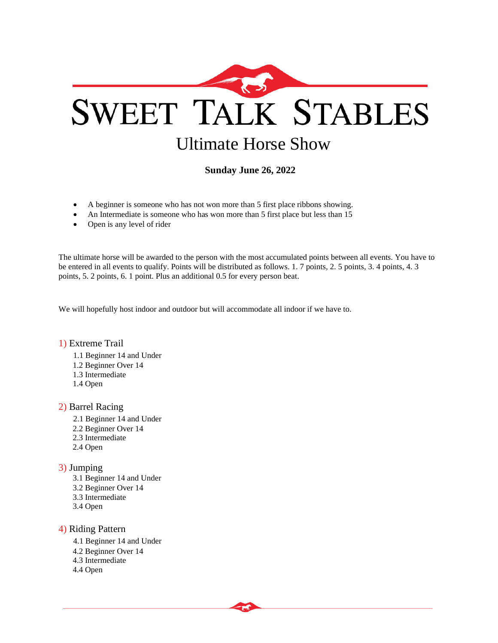

# **Sunday June 26, 2022**

- A beginner is someone who has not won more than 5 first place ribbons showing.
- An Intermediate is someone who has won more than 5 first place but less than 15
- Open is any level of rider

The ultimate horse will be awarded to the person with the most accumulated points between all events. You have to be entered in all events to qualify. Points will be distributed as follows. 1. 7 points, 2. 5 points, 3. 4 points, 4. 3 points, 5. 2 points, 6. 1 point. Plus an additional 0.5 for every person beat.

 $\overline{\mathcal{L}}$ 

We will hopefully host indoor and outdoor but will accommodate all indoor if we have to.

## 1) Extreme Trail

- 1.1 Beginner 14 and Under
- 1.2 Beginner Over 14
- 1.3 Intermediate
- 1.4 Open

## 2) Barrel Racing

- 2.1 Beginner 14 and Under
- 2.2 Beginner Over 14
- 2.3 Intermediate
- 2.4 Open

# 3) Jumping

- 3.1 Beginner 14 and Under
- 3.2 Beginner Over 14
- 3.3 Intermediate
- 3.4 Open

## 4) Riding Pattern

- 4.1 Beginner 14 and Under
- 4.2 Beginner Over 14
- 4.3 Intermediate
- 4.4 Open